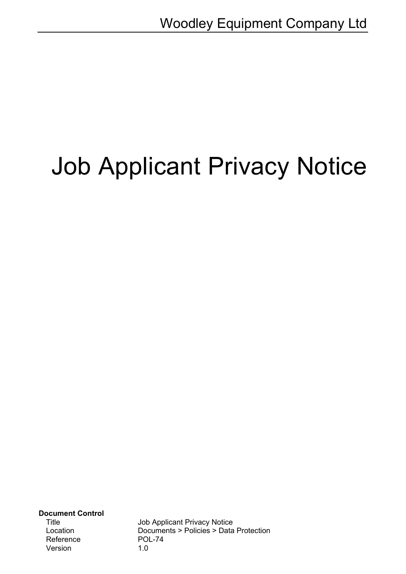# Job Applicant Privacy Notice

**Document Control** Reference POL-74<br>Version 1.0 Version

Title Job Applicant Privacy Notice Location Documents > Policies > Data Protection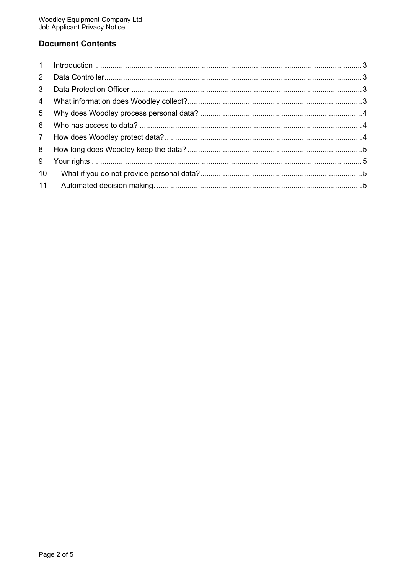# **Document Contents**

| $\mathbf{1}$    |  |
|-----------------|--|
| $\mathbf{2}$    |  |
| 3               |  |
| $\overline{4}$  |  |
| 5               |  |
| 6               |  |
| $7\overline{ }$ |  |
| 8               |  |
| 9               |  |
| 10              |  |
| 11              |  |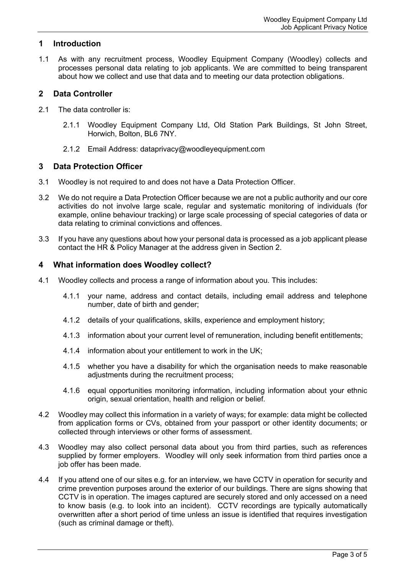### <span id="page-2-0"></span>**1 Introduction**

1.1 As with any recruitment process, Woodley Equipment Company (Woodley) collects and processes personal data relating to job applicants. We are committed to being transparent about how we collect and use that data and to meeting our data protection obligations.

#### <span id="page-2-1"></span>**2 Data Controller**

- 2.1 The data controller is:
	- 2.1.1 Woodley Equipment Company Ltd, Old Station Park Buildings, St John Street, Horwich, Bolton, BL6 7NY.
	- 2.1.2 Email Address: dataprivacy@woodleyequipment.com

#### <span id="page-2-2"></span>**3 Data Protection Officer**

- 3.1 Woodley is not required to and does not have a Data Protection Officer.
- 3.2 We do not require a Data Protection Officer because we are not a public authority and our core activities do not involve large scale, regular and systematic monitoring of individuals (for example, online behaviour tracking) or large scale processing of special categories of data or data relating to criminal convictions and offences.
- 3.3 If you have any questions about how your personal data is processed as a job applicant please contact the HR & Policy Manager at the address given in Section 2.

#### <span id="page-2-3"></span>**4 What information does Woodley collect?**

- 4.1 Woodley collects and process a range of information about you. This includes:
	- 4.1.1 your name, address and contact details, including email address and telephone number, date of birth and gender;
	- 4.1.2 details of your qualifications, skills, experience and employment history;
	- 4.1.3 information about your current level of remuneration, including benefit entitlements;
	- 4.1.4 information about your entitlement to work in the UK;
	- 4.1.5 whether you have a disability for which the organisation needs to make reasonable adjustments during the recruitment process;
	- 4.1.6 equal opportunities monitoring information, including information about your ethnic origin, sexual orientation, health and religion or belief.
- 4.2 Woodley may collect this information in a variety of ways; for example: data might be collected from application forms or CVs, obtained from your passport or other identity documents; or collected through interviews or other forms of assessment.
- 4.3 Woodley may also collect personal data about you from third parties, such as references supplied by former employers. Woodley will only seek information from third parties once a job offer has been made.
- 4.4 If you attend one of our sites e.g. for an interview, we have CCTV in operation for security and crime prevention purposes around the exterior of our buildings. There are signs showing that CCTV is in operation. The images captured are securely stored and only accessed on a need to know basis (e.g. to look into an incident). CCTV recordings are typically automatically overwritten after a short period of time unless an issue is identified that requires investigation (such as criminal damage or theft).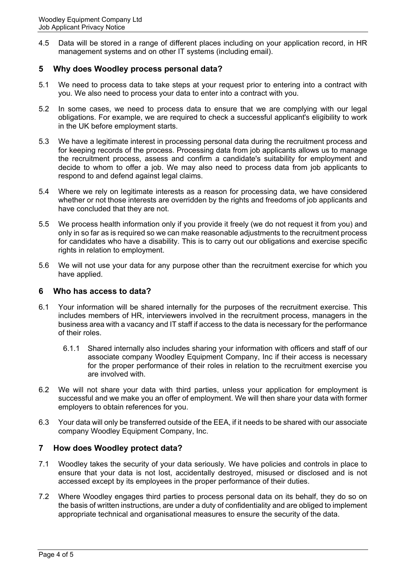4.5 Data will be stored in a range of different places including on your application record, in HR management systems and on other IT systems (including email).

# <span id="page-3-0"></span>**5 Why does Woodley process personal data?**

- 5.1 We need to process data to take steps at your request prior to entering into a contract with you. We also need to process your data to enter into a contract with you.
- 5.2 In some cases, we need to process data to ensure that we are complying with our legal obligations. For example, we are required to check a successful applicant's eligibility to work in the UK before employment starts.
- 5.3 We have a legitimate interest in processing personal data during the recruitment process and for keeping records of the process. Processing data from job applicants allows us to manage the recruitment process, assess and confirm a candidate's suitability for employment and decide to whom to offer a job. We may also need to process data from job applicants to respond to and defend against legal claims.
- 5.4 Where we rely on legitimate interests as a reason for processing data, we have considered whether or not those interests are overridden by the rights and freedoms of job applicants and have concluded that they are not.
- 5.5 We process health information only if you provide it freely (we do not request it from you) and only in so far as is required so we can make reasonable adjustments to the recruitment process for candidates who have a disability. This is to carry out our obligations and exercise specific rights in relation to employment.
- 5.6 We will not use your data for any purpose other than the recruitment exercise for which you have applied.

#### <span id="page-3-1"></span>**6 Who has access to data?**

- 6.1 Your information will be shared internally for the purposes of the recruitment exercise. This includes members of HR, interviewers involved in the recruitment process, managers in the business area with a vacancy and IT staff if access to the data is necessary for the performance of their roles.
	- 6.1.1 Shared internally also includes sharing your information with officers and staff of our associate company Woodley Equipment Company, Inc if their access is necessary for the proper performance of their roles in relation to the recruitment exercise you are involved with.
- 6.2 We will not share your data with third parties, unless your application for employment is successful and we make you an offer of employment. We will then share your data with former employers to obtain references for you.
- 6.3 Your data will only be transferred outside of the EEA, if it needs to be shared with our associate company Woodley Equipment Company, Inc.

# <span id="page-3-2"></span>**7 How does Woodley protect data?**

- 7.1 Woodley takes the security of your data seriously. We have policies and controls in place to ensure that your data is not lost, accidentally destroyed, misused or disclosed and is not accessed except by its employees in the proper performance of their duties.
- 7.2 Where Woodley engages third parties to process personal data on its behalf, they do so on the basis of written instructions, are under a duty of confidentiality and are obliged to implement appropriate technical and organisational measures to ensure the security of the data.